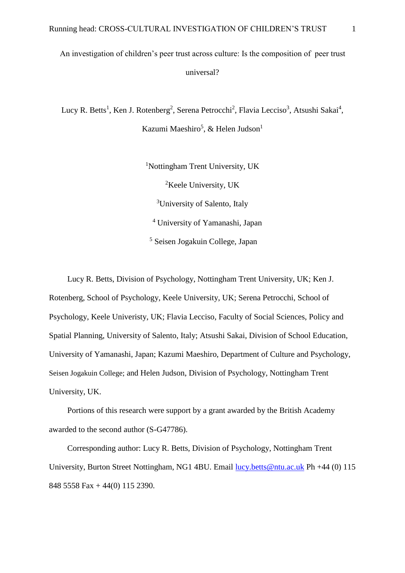# An investigation of children's peer trust across culture: Is the composition of peer trust universal?

Lucy R. Betts<sup>1</sup>, Ken J. Rotenberg<sup>2</sup>, Serena Petrocchi<sup>2</sup>, Flavia Lecciso<sup>3</sup>, Atsushi Sakai<sup>4</sup>, Kazumi Maeshiro<sup>5</sup>, & Helen Judson<sup>1</sup>

> <sup>1</sup>Nottingham Trent University, UK <sup>2</sup>Keele University, UK <sup>3</sup>University of Salento, Italy <sup>4</sup> University of Yamanashi, Japan <sup>5</sup> Seisen Jogakuin College, Japan

Lucy R. Betts, Division of Psychology, Nottingham Trent University, UK; Ken J. Rotenberg, School of Psychology, Keele University, UK; Serena Petrocchi, School of Psychology, Keele Univeristy, UK; Flavia Lecciso, Faculty of Social Sciences, Policy and Spatial Planning, University of Salento, Italy; Atsushi Sakai, Division of School Education, University of Yamanashi, Japan; Kazumi Maeshiro, Department of Culture and Psychology, Seisen Jogakuin College; and Helen Judson, Division of Psychology, Nottingham Trent University, UK.

Portions of this research were support by a grant awarded by the British Academy awarded to the second author (S-G47786).

Corresponding author: Lucy R. Betts, Division of Psychology, Nottingham Trent University, Burton Street Nottingham, NG1 4BU. Email [lucy.betts@ntu.ac.uk](mailto:lucy.betts@ntu.ac.uk) Ph +44 (0) 115 848 5558 Fax + 44(0) 115 2390.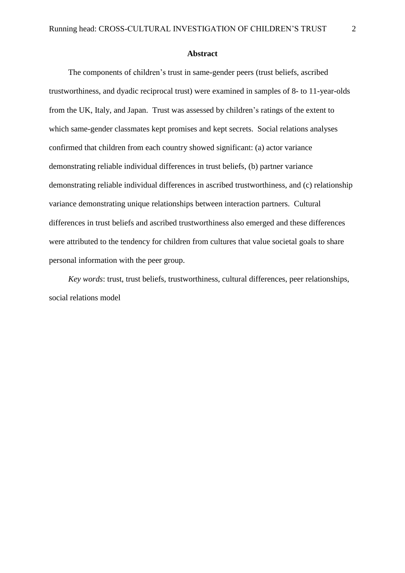**Abstract**

The components of children's trust in same-gender peers (trust beliefs, ascribed trustworthiness, and dyadic reciprocal trust) were examined in samples of 8- to 11-year-olds from the UK, Italy, and Japan. Trust was assessed by children's ratings of the extent to which same-gender classmates kept promises and kept secrets. Social relations analyses confirmed that children from each country showed significant: (a) actor variance demonstrating reliable individual differences in trust beliefs, (b) partner variance demonstrating reliable individual differences in ascribed trustworthiness, and (c) relationship variance demonstrating unique relationships between interaction partners. Cultural differences in trust beliefs and ascribed trustworthiness also emerged and these differences were attributed to the tendency for children from cultures that value societal goals to share personal information with the peer group.

*Key words*: trust, trust beliefs, trustworthiness, cultural differences, peer relationships, social relations model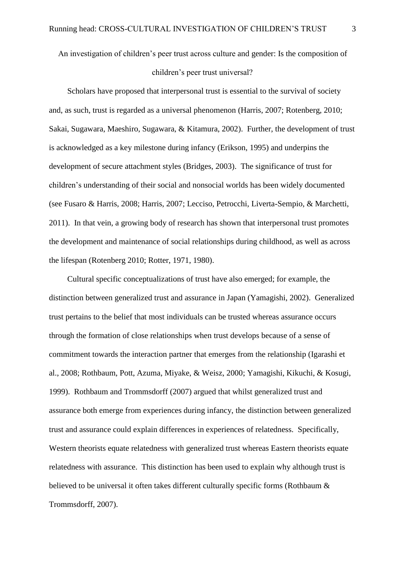An investigation of children's peer trust across culture and gender: Is the composition of

### children's peer trust universal?

Scholars have proposed that interpersonal trust is essential to the survival of society and, as such, trust is regarded as a universal phenomenon (Harris, 2007; Rotenberg, 2010; Sakai, Sugawara, Maeshiro, Sugawara, & Kitamura, 2002). Further, the development of trust is acknowledged as a key milestone during infancy (Erikson, 1995) and underpins the development of secure attachment styles (Bridges, 2003). The significance of trust for children's understanding of their social and nonsocial worlds has been widely documented (see Fusaro & Harris, 2008; Harris, 2007; Lecciso, Petrocchi, Liverta-Sempio, & Marchetti, 2011). In that vein, a growing body of research has shown that interpersonal trust promotes the development and maintenance of social relationships during childhood, as well as across the lifespan (Rotenberg 2010; Rotter, 1971, 1980).

Cultural specific conceptualizations of trust have also emerged; for example, the distinction between generalized trust and assurance in Japan (Yamagishi, 2002). Generalized trust pertains to the belief that most individuals can be trusted whereas assurance occurs through the formation of close relationships when trust develops because of a sense of commitment towards the interaction partner that emerges from the relationship (Igarashi et al., 2008; Rothbaum, Pott, Azuma, Miyake, & Weisz, 2000; Yamagishi, Kikuchi, & Kosugi, 1999). Rothbaum and Trommsdorff (2007) argued that whilst generalized trust and assurance both emerge from experiences during infancy, the distinction between generalized trust and assurance could explain differences in experiences of relatedness. Specifically, Western theorists equate relatedness with generalized trust whereas Eastern theorists equate relatedness with assurance. This distinction has been used to explain why although trust is believed to be universal it often takes different culturally specific forms (Rothbaum & Trommsdorff, 2007).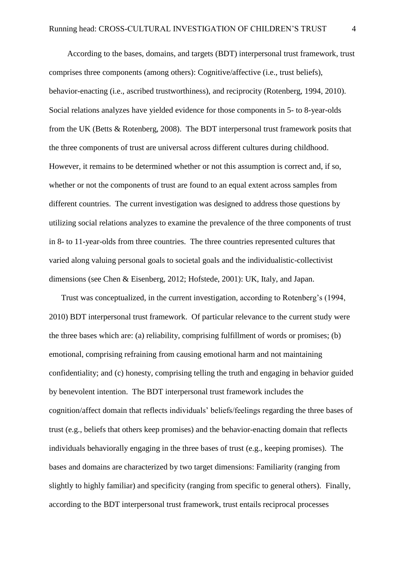According to the bases, domains, and targets (BDT) interpersonal trust framework, trust comprises three components (among others): Cognitive/affective (i.e., trust beliefs), behavior-enacting (i.e., ascribed trustworthiness), and reciprocity (Rotenberg, 1994, 2010). Social relations analyzes have yielded evidence for those components in 5- to 8-year-olds from the UK (Betts & Rotenberg, 2008). The BDT interpersonal trust framework posits that the three components of trust are universal across different cultures during childhood. However, it remains to be determined whether or not this assumption is correct and, if so, whether or not the components of trust are found to an equal extent across samples from different countries. The current investigation was designed to address those questions by utilizing social relations analyzes to examine the prevalence of the three components of trust in 8- to 11-year-olds from three countries. The three countries represented cultures that varied along valuing personal goals to societal goals and the individualistic-collectivist dimensions (see Chen & Eisenberg, 2012; Hofstede, 2001): UK, Italy, and Japan.

Trust was conceptualized, in the current investigation, according to Rotenberg's (1994, 2010) BDT interpersonal trust framework. Of particular relevance to the current study were the three bases which are: (a) reliability, comprising fulfillment of words or promises; (b) emotional, comprising refraining from causing emotional harm and not maintaining confidentiality; and (c) honesty, comprising telling the truth and engaging in behavior guided by benevolent intention. The BDT interpersonal trust framework includes the cognition/affect domain that reflects individuals' beliefs/feelings regarding the three bases of trust (e.g., beliefs that others keep promises) and the behavior-enacting domain that reflects individuals behaviorally engaging in the three bases of trust (e.g., keeping promises). The bases and domains are characterized by two target dimensions: Familiarity (ranging from slightly to highly familiar) and specificity (ranging from specific to general others). Finally, according to the BDT interpersonal trust framework, trust entails reciprocal processes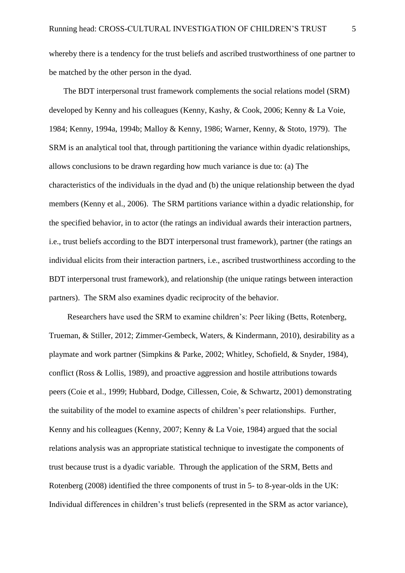whereby there is a tendency for the trust beliefs and ascribed trustworthiness of one partner to be matched by the other person in the dyad.

The BDT interpersonal trust framework complements the social relations model (SRM) developed by Kenny and his colleagues (Kenny, Kashy, & Cook, 2006; Kenny & La Voie, 1984; Kenny, 1994a, 1994b; Malloy & Kenny, 1986; Warner, Kenny, & Stoto, 1979). The SRM is an analytical tool that, through partitioning the variance within dyadic relationships, allows conclusions to be drawn regarding how much variance is due to: (a) The characteristics of the individuals in the dyad and (b) the unique relationship between the dyad members (Kenny et al., 2006). The SRM partitions variance within a dyadic relationship, for the specified behavior, in to actor (the ratings an individual awards their interaction partners, i.e., trust beliefs according to the BDT interpersonal trust framework), partner (the ratings an individual elicits from their interaction partners, i.e., ascribed trustworthiness according to the BDT interpersonal trust framework), and relationship (the unique ratings between interaction partners). The SRM also examines dyadic reciprocity of the behavior.

Researchers have used the SRM to examine children's: Peer liking (Betts, Rotenberg, Trueman, & Stiller, 2012; Zimmer-Gembeck, Waters, & Kindermann, 2010), desirability as a playmate and work partner (Simpkins & Parke, 2002; Whitley, Schofield, & Snyder, 1984), conflict (Ross & Lollis, 1989), and proactive aggression and hostile attributions towards peers (Coie et al., 1999; Hubbard, Dodge, Cillessen, Coie, & Schwartz, 2001) demonstrating the suitability of the model to examine aspects of children's peer relationships. Further, Kenny and his colleagues (Kenny, 2007; Kenny & La Voie, 1984) argued that the social relations analysis was an appropriate statistical technique to investigate the components of trust because trust is a dyadic variable. Through the application of the SRM, Betts and Rotenberg (2008) identified the three components of trust in 5- to 8-year-olds in the UK: Individual differences in children's trust beliefs (represented in the SRM as actor variance),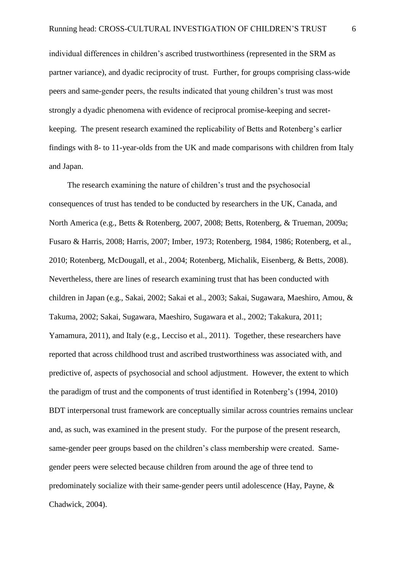individual differences in children's ascribed trustworthiness (represented in the SRM as partner variance), and dyadic reciprocity of trust. Further, for groups comprising class-wide peers and same-gender peers, the results indicated that young children's trust was most strongly a dyadic phenomena with evidence of reciprocal promise-keeping and secretkeeping. The present research examined the replicability of Betts and Rotenberg's earlier findings with 8- to 11-year-olds from the UK and made comparisons with children from Italy and Japan.

The research examining the nature of children's trust and the psychosocial consequences of trust has tended to be conducted by researchers in the UK, Canada, and North America (e.g., Betts & Rotenberg, 2007, 2008; Betts, Rotenberg, & Trueman, 2009a; Fusaro & Harris, 2008; Harris, 2007; Imber, 1973; Rotenberg, 1984, 1986; Rotenberg, et al., 2010; Rotenberg, McDougall, et al., 2004; Rotenberg, Michalik, Eisenberg, & Betts, 2008). Nevertheless, there are lines of research examining trust that has been conducted with children in Japan (e.g., Sakai, 2002; Sakai et al., 2003; Sakai, Sugawara, Maeshiro, Amou, & Takuma, 2002; Sakai, Sugawara, Maeshiro, Sugawara et al., 2002; Takakura, 2011; Yamamura, 2011), and Italy (e.g., Lecciso et al., 2011). Together, these researchers have reported that across childhood trust and ascribed trustworthiness was associated with, and predictive of, aspects of psychosocial and school adjustment. However, the extent to which the paradigm of trust and the components of trust identified in Rotenberg's (1994, 2010) BDT interpersonal trust framework are conceptually similar across countries remains unclear and, as such, was examined in the present study. For the purpose of the present research, same-gender peer groups based on the children's class membership were created. Samegender peers were selected because children from around the age of three tend to predominately socialize with their same-gender peers until adolescence (Hay, Payne, & Chadwick, 2004).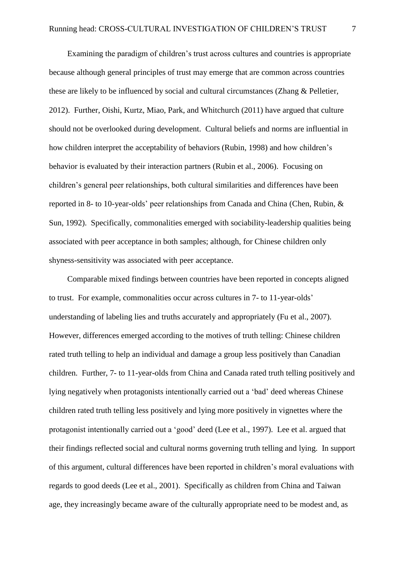Examining the paradigm of children's trust across cultures and countries is appropriate because although general principles of trust may emerge that are common across countries these are likely to be influenced by social and cultural circumstances (Zhang & Pelletier, 2012). Further, Oishi, Kurtz, Miao, Park, and Whitchurch (2011) have argued that culture should not be overlooked during development. Cultural beliefs and norms are influential in how children interpret the acceptability of behaviors (Rubin, 1998) and how children's behavior is evaluated by their interaction partners (Rubin et al., 2006). Focusing on children's general peer relationships, both cultural similarities and differences have been reported in 8- to 10-year-olds' peer relationships from Canada and China (Chen, Rubin, & Sun, 1992). Specifically, commonalities emerged with sociability-leadership qualities being associated with peer acceptance in both samples; although, for Chinese children only shyness-sensitivity was associated with peer acceptance.

Comparable mixed findings between countries have been reported in concepts aligned to trust. For example, commonalities occur across cultures in 7- to 11-year-olds' understanding of labeling lies and truths accurately and appropriately (Fu et al., 2007). However, differences emerged according to the motives of truth telling: Chinese children rated truth telling to help an individual and damage a group less positively than Canadian children. Further, 7- to 11-year-olds from China and Canada rated truth telling positively and lying negatively when protagonists intentionally carried out a 'bad' deed whereas Chinese children rated truth telling less positively and lying more positively in vignettes where the protagonist intentionally carried out a 'good' deed (Lee et al., 1997). Lee et al. argued that their findings reflected social and cultural norms governing truth telling and lying. In support of this argument, cultural differences have been reported in children's moral evaluations with regards to good deeds (Lee et al., 2001). Specifically as children from China and Taiwan age, they increasingly became aware of the culturally appropriate need to be modest and, as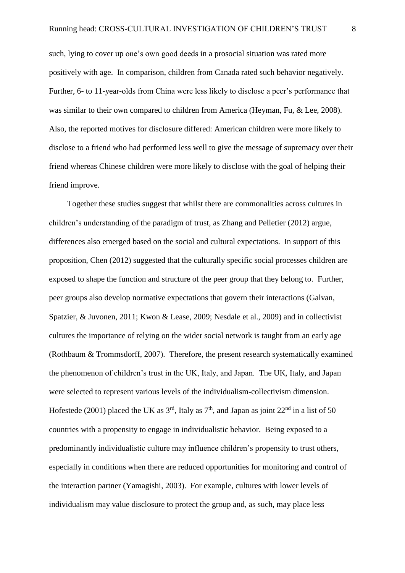such, lying to cover up one's own good deeds in a prosocial situation was rated more positively with age. In comparison, children from Canada rated such behavior negatively. Further, 6- to 11-year-olds from China were less likely to disclose a peer's performance that was similar to their own compared to children from America (Heyman, Fu, & Lee, 2008). Also, the reported motives for disclosure differed: American children were more likely to disclose to a friend who had performed less well to give the message of supremacy over their friend whereas Chinese children were more likely to disclose with the goal of helping their friend improve.

Together these studies suggest that whilst there are commonalities across cultures in children's understanding of the paradigm of trust, as Zhang and Pelletier (2012) argue, differences also emerged based on the social and cultural expectations. In support of this proposition, Chen (2012) suggested that the culturally specific social processes children are exposed to shape the function and structure of the peer group that they belong to. Further, peer groups also develop normative expectations that govern their interactions (Galvan, Spatzier, & Juvonen, 2011; Kwon & Lease, 2009; Nesdale et al., 2009) and in collectivist cultures the importance of relying on the wider social network is taught from an early age (Rothbaum & Trommsdorff, 2007). Therefore, the present research systematically examined the phenomenon of children's trust in the UK, Italy, and Japan. The UK, Italy, and Japan were selected to represent various levels of the individualism-collectivism dimension. Hofestede (2001) placed the UK as  $3<sup>rd</sup>$ , Italy as  $7<sup>th</sup>$ , and Japan as joint  $22<sup>nd</sup>$  in a list of 50 countries with a propensity to engage in individualistic behavior. Being exposed to a predominantly individualistic culture may influence children's propensity to trust others, especially in conditions when there are reduced opportunities for monitoring and control of the interaction partner (Yamagishi, 2003). For example, cultures with lower levels of individualism may value disclosure to protect the group and, as such, may place less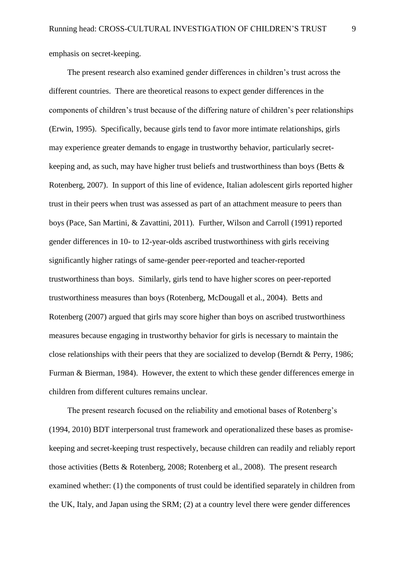emphasis on secret-keeping.

The present research also examined gender differences in children's trust across the different countries. There are theoretical reasons to expect gender differences in the components of children's trust because of the differing nature of children's peer relationships (Erwin, 1995). Specifically, because girls tend to favor more intimate relationships, girls may experience greater demands to engage in trustworthy behavior, particularly secretkeeping and, as such, may have higher trust beliefs and trustworthiness than boys (Betts & Rotenberg, 2007). In support of this line of evidence, Italian adolescent girls reported higher trust in their peers when trust was assessed as part of an attachment measure to peers than boys (Pace, San Martini, & Zavattini, 2011). Further, Wilson and Carroll (1991) reported gender differences in 10- to 12-year-olds ascribed trustworthiness with girls receiving significantly higher ratings of same-gender peer-reported and teacher-reported trustworthiness than boys. Similarly, girls tend to have higher scores on peer-reported trustworthiness measures than boys (Rotenberg, McDougall et al., 2004). Betts and Rotenberg (2007) argued that girls may score higher than boys on ascribed trustworthiness measures because engaging in trustworthy behavior for girls is necessary to maintain the close relationships with their peers that they are socialized to develop (Berndt & Perry, 1986; Furman & Bierman, 1984). However, the extent to which these gender differences emerge in children from different cultures remains unclear.

The present research focused on the reliability and emotional bases of Rotenberg's (1994, 2010) BDT interpersonal trust framework and operationalized these bases as promisekeeping and secret-keeping trust respectively, because children can readily and reliably report those activities (Betts & Rotenberg, 2008; Rotenberg et al., 2008). The present research examined whether: (1) the components of trust could be identified separately in children from the UK, Italy, and Japan using the SRM; (2) at a country level there were gender differences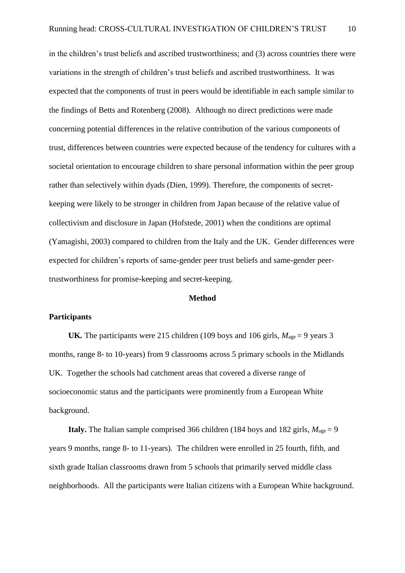in the children's trust beliefs and ascribed trustworthiness; and (3) across countries there were variations in the strength of children's trust beliefs and ascribed trustworthiness. It was expected that the components of trust in peers would be identifiable in each sample similar to the findings of Betts and Rotenberg (2008). Although no direct predictions were made concerning potential differences in the relative contribution of the various components of trust, differences between countries were expected because of the tendency for cultures with a societal orientation to encourage children to share personal information within the peer group rather than selectively within dyads (Dien, 1999). Therefore, the components of secretkeeping were likely to be stronger in children from Japan because of the relative value of collectivism and disclosure in Japan (Hofstede, 2001) when the conditions are optimal (Yamagishi, 2003) compared to children from the Italy and the UK. Gender differences were expected for children's reports of same-gender peer trust beliefs and same-gender peertrustworthiness for promise-keeping and secret-keeping.

#### **Method**

### **Participants**

**UK***.* The participants were 215 children (109 boys and 106 girls,  $M_{\text{age}} = 9$  years 3 months, range 8- to 10-years) from 9 classrooms across 5 primary schools in the Midlands UK. Together the schools had catchment areas that covered a diverse range of socioeconomic status and the participants were prominently from a European White background.

**Italy.** The Italian sample comprised 366 children (184 boys and 182 girls,  $M_{\text{age}} = 9$ ) years 9 months, range 8- to 11-years). The children were enrolled in 25 fourth, fifth, and sixth grade Italian classrooms drawn from 5 schools that primarily served middle class neighborhoods. All the participants were Italian citizens with a European White background.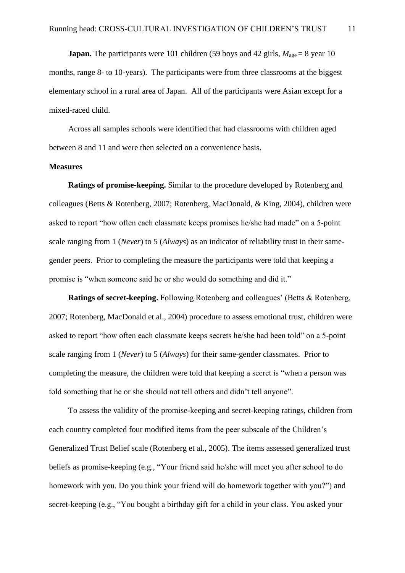**Japan.** The participants were 101 children (59 boys and 42 girls,  $M_{\text{age}} = 8$  year 10 months, range 8- to 10-years). The participants were from three classrooms at the biggest elementary school in a rural area of Japan. All of the participants were Asian except for a mixed-raced child.

Across all samples schools were identified that had classrooms with children aged between 8 and 11 and were then selected on a convenience basis.

### **Measures**

**Ratings of promise-keeping.** Similar to the procedure developed by Rotenberg and colleagues (Betts & Rotenberg, 2007; Rotenberg, MacDonald, & King, 2004), children were asked to report "how often each classmate keeps promises he/she had made" on a 5-point scale ranging from 1 (*Never*) to 5 (*Always*) as an indicator of reliability trust in their samegender peers. Prior to completing the measure the participants were told that keeping a promise is "when someone said he or she would do something and did it."

**Ratings of secret-keeping.** Following Rotenberg and colleagues' (Betts & Rotenberg, 2007; Rotenberg, MacDonald et al., 2004) procedure to assess emotional trust, children were asked to report "how often each classmate keeps secrets he/she had been told" on a 5-point scale ranging from 1 (*Never*) to 5 (*Always*) for their same-gender classmates. Prior to completing the measure, the children were told that keeping a secret is "when a person was told something that he or she should not tell others and didn't tell anyone".

To assess the validity of the promise-keeping and secret-keeping ratings, children from each country completed four modified items from the peer subscale of the Children's Generalized Trust Belief scale (Rotenberg et al., 2005). The items assessed generalized trust beliefs as promise-keeping (e.g., "Your friend said he/she will meet you after school to do homework with you. Do you think your friend will do homework together with you?") and secret-keeping (e.g., "You bought a birthday gift for a child in your class. You asked your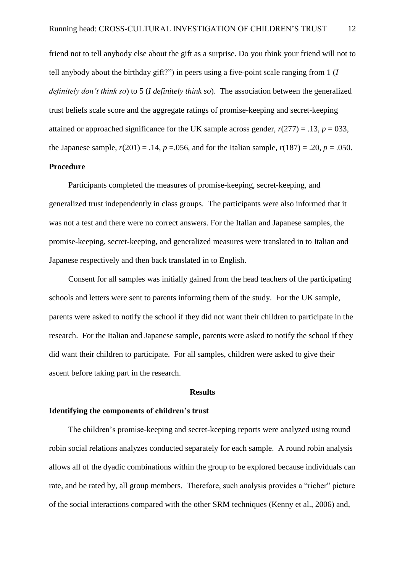friend not to tell anybody else about the gift as a surprise. Do you think your friend will not to tell anybody about the birthday gift?") in peers using a five-point scale ranging from 1 (*I definitely don't think so*) to 5 (*I definitely think so*). The association between the generalized trust beliefs scale score and the aggregate ratings of promise-keeping and secret-keeping attained or approached significance for the UK sample across gender,  $r(277) = .13$ ,  $p = 033$ , the Japanese sample,  $r(201) = .14$ ,  $p = .056$ , and for the Italian sample,  $r(187) = .20$ ,  $p = .050$ . **Procedure**

Participants completed the measures of promise-keeping, secret-keeping, and generalized trust independently in class groups. The participants were also informed that it was not a test and there were no correct answers. For the Italian and Japanese samples, the promise-keeping, secret-keeping, and generalized measures were translated in to Italian and Japanese respectively and then back translated in to English.

Consent for all samples was initially gained from the head teachers of the participating schools and letters were sent to parents informing them of the study. For the UK sample, parents were asked to notify the school if they did not want their children to participate in the research. For the Italian and Japanese sample, parents were asked to notify the school if they did want their children to participate. For all samples, children were asked to give their ascent before taking part in the research.

### **Results**

### **Identifying the components of children's trust**

The children's promise-keeping and secret-keeping reports were analyzed using round robin social relations analyzes conducted separately for each sample. A round robin analysis allows all of the dyadic combinations within the group to be explored because individuals can rate, and be rated by, all group members. Therefore, such analysis provides a "richer" picture of the social interactions compared with the other SRM techniques (Kenny et al., 2006) and,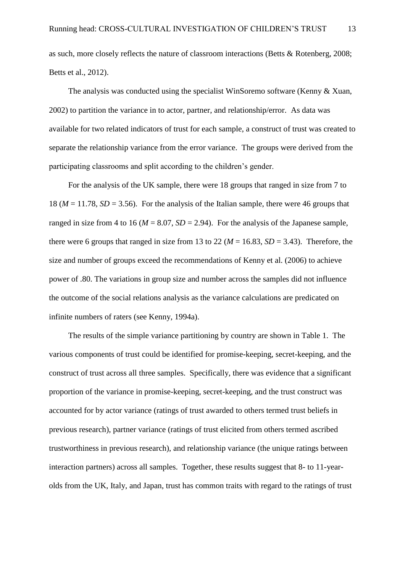as such, more closely reflects the nature of classroom interactions (Betts & Rotenberg, 2008; Betts et al., 2012).

The analysis was conducted using the specialist WinSoremo software (Kenny & Xuan, 2002) to partition the variance in to actor, partner, and relationship/error. As data was available for two related indicators of trust for each sample, a construct of trust was created to separate the relationship variance from the error variance. The groups were derived from the participating classrooms and split according to the children's gender.

For the analysis of the UK sample, there were 18 groups that ranged in size from 7 to 18 ( $M = 11.78$ ,  $SD = 3.56$ ). For the analysis of the Italian sample, there were 46 groups that ranged in size from 4 to 16 ( $M = 8.07$ ,  $SD = 2.94$ ). For the analysis of the Japanese sample, there were 6 groups that ranged in size from 13 to 22 ( $M = 16.83$ ,  $SD = 3.43$ ). Therefore, the size and number of groups exceed the recommendations of Kenny et al. (2006) to achieve power of .80. The variations in group size and number across the samples did not influence the outcome of the social relations analysis as the variance calculations are predicated on infinite numbers of raters (see Kenny, 1994a).

The results of the simple variance partitioning by country are shown in Table 1. The various components of trust could be identified for promise-keeping, secret-keeping, and the construct of trust across all three samples. Specifically, there was evidence that a significant proportion of the variance in promise-keeping, secret-keeping, and the trust construct was accounted for by actor variance (ratings of trust awarded to others termed trust beliefs in previous research), partner variance (ratings of trust elicited from others termed ascribed trustworthiness in previous research), and relationship variance (the unique ratings between interaction partners) across all samples. Together, these results suggest that 8- to 11-yearolds from the UK, Italy, and Japan, trust has common traits with regard to the ratings of trust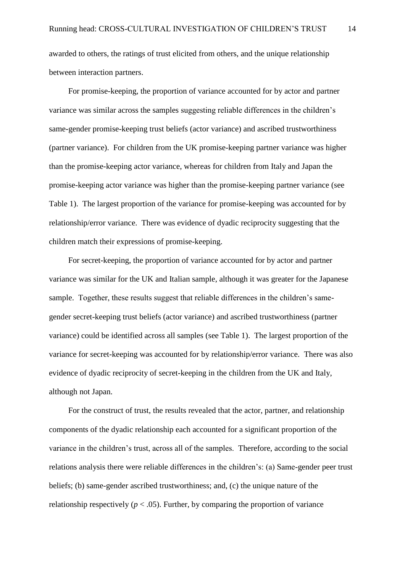awarded to others, the ratings of trust elicited from others, and the unique relationship between interaction partners.

For promise-keeping, the proportion of variance accounted for by actor and partner variance was similar across the samples suggesting reliable differences in the children's same-gender promise-keeping trust beliefs (actor variance) and ascribed trustworthiness (partner variance). For children from the UK promise-keeping partner variance was higher than the promise-keeping actor variance, whereas for children from Italy and Japan the promise-keeping actor variance was higher than the promise-keeping partner variance (see Table 1). The largest proportion of the variance for promise-keeping was accounted for by relationship/error variance. There was evidence of dyadic reciprocity suggesting that the children match their expressions of promise-keeping.

For secret-keeping, the proportion of variance accounted for by actor and partner variance was similar for the UK and Italian sample, although it was greater for the Japanese sample. Together, these results suggest that reliable differences in the children's samegender secret-keeping trust beliefs (actor variance) and ascribed trustworthiness (partner variance) could be identified across all samples (see Table 1). The largest proportion of the variance for secret-keeping was accounted for by relationship/error variance. There was also evidence of dyadic reciprocity of secret-keeping in the children from the UK and Italy, although not Japan.

For the construct of trust, the results revealed that the actor, partner, and relationship components of the dyadic relationship each accounted for a significant proportion of the variance in the children's trust, across all of the samples. Therefore, according to the social relations analysis there were reliable differences in the children's: (a) Same-gender peer trust beliefs; (b) same-gender ascribed trustworthiness; and, (c) the unique nature of the relationship respectively ( $p < .05$ ). Further, by comparing the proportion of variance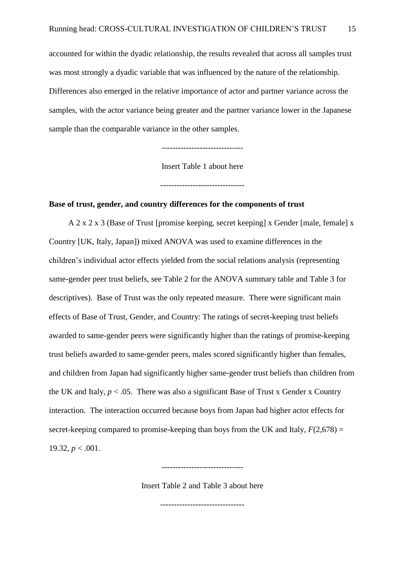accounted for within the dyadic relationship, the results revealed that across all samples trust was most strongly a dyadic variable that was influenced by the nature of the relationship. Differences also emerged in the relative importance of actor and partner variance across the samples, with the actor variance being greater and the partner variance lower in the Japanese sample than the comparable variance in the other samples.

------------------------------

Insert Table 1 about here

-------------------------------

### **Base of trust, gender, and country differences for the components of trust**

A 2 x 2 x 3 (Base of Trust [promise keeping, secret keeping] x Gender [male, female] x Country [UK, Italy, Japan]) mixed ANOVA was used to examine differences in the children's individual actor effects yielded from the social relations analysis (representing same-gender peer trust beliefs, see Table 2 for the ANOVA summary table and Table 3 for descriptives). Base of Trust was the only repeated measure. There were significant main effects of Base of Trust, Gender, and Country: The ratings of secret-keeping trust beliefs awarded to same-gender peers were significantly higher than the ratings of promise-keeping trust beliefs awarded to same-gender peers, males scored significantly higher than females, and children from Japan had significantly higher same-gender trust beliefs than children from the UK and Italy,  $p < 0.05$ . There was also a significant Base of Trust x Gender x Country interaction. The interaction occurred because boys from Japan had higher actor effects for secret-keeping compared to promise-keeping than boys from the UK and Italy,  $F(2,678) =$ 19.32,  $p < .001$ .

Insert Table 2 and Table 3 about here

------------------------------

-------------------------------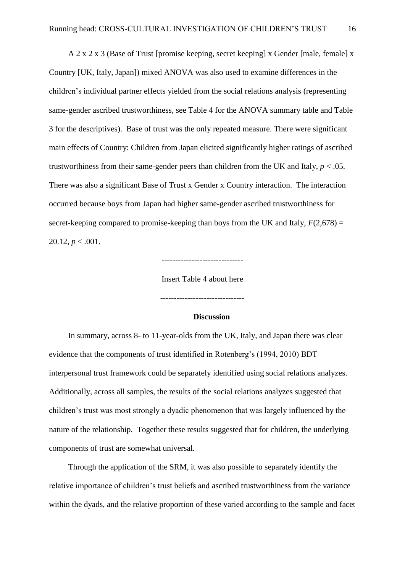A 2 x 2 x 3 (Base of Trust [promise keeping, secret keeping] x Gender [male, female] x Country [UK, Italy, Japan]) mixed ANOVA was also used to examine differences in the children's individual partner effects yielded from the social relations analysis (representing same-gender ascribed trustworthiness, see Table 4 for the ANOVA summary table and Table 3 for the descriptives). Base of trust was the only repeated measure. There were significant main effects of Country: Children from Japan elicited significantly higher ratings of ascribed trustworthiness from their same-gender peers than children from the UK and Italy,  $p < .05$ . There was also a significant Base of Trust x Gender x Country interaction. The interaction occurred because boys from Japan had higher same-gender ascribed trustworthiness for secret-keeping compared to promise-keeping than boys from the UK and Italy,  $F(2,678) =$ 20.12,  $p < .001$ .

------------------------------

Insert Table 4 about here

-------------------------------

**Discussion**

In summary, across 8- to 11-year-olds from the UK, Italy, and Japan there was clear evidence that the components of trust identified in Rotenberg's (1994, 2010) BDT interpersonal trust framework could be separately identified using social relations analyzes. Additionally, across all samples, the results of the social relations analyzes suggested that children's trust was most strongly a dyadic phenomenon that was largely influenced by the nature of the relationship. Together these results suggested that for children, the underlying components of trust are somewhat universal.

Through the application of the SRM, it was also possible to separately identify the relative importance of children's trust beliefs and ascribed trustworthiness from the variance within the dyads, and the relative proportion of these varied according to the sample and facet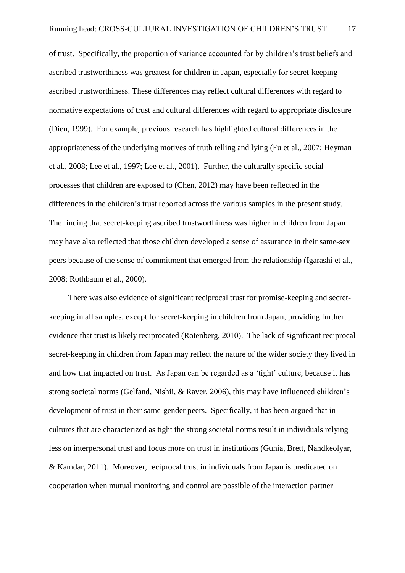of trust. Specifically, the proportion of variance accounted for by children's trust beliefs and ascribed trustworthiness was greatest for children in Japan, especially for secret-keeping ascribed trustworthiness. These differences may reflect cultural differences with regard to normative expectations of trust and cultural differences with regard to appropriate disclosure (Dien, 1999). For example, previous research has highlighted cultural differences in the appropriateness of the underlying motives of truth telling and lying (Fu et al., 2007; Heyman et al., 2008; Lee et al., 1997; Lee et al., 2001). Further, the culturally specific social processes that children are exposed to (Chen, 2012) may have been reflected in the differences in the children's trust reported across the various samples in the present study. The finding that secret-keeping ascribed trustworthiness was higher in children from Japan may have also reflected that those children developed a sense of assurance in their same-sex peers because of the sense of commitment that emerged from the relationship (Igarashi et al., 2008; Rothbaum et al., 2000).

There was also evidence of significant reciprocal trust for promise-keeping and secretkeeping in all samples, except for secret-keeping in children from Japan, providing further evidence that trust is likely reciprocated (Rotenberg, 2010). The lack of significant reciprocal secret-keeping in children from Japan may reflect the nature of the wider society they lived in and how that impacted on trust. As Japan can be regarded as a 'tight' culture, because it has strong societal norms (Gelfand, Nishii, & Raver, 2006), this may have influenced children's development of trust in their same-gender peers. Specifically, it has been argued that in cultures that are characterized as tight the strong societal norms result in individuals relying less on interpersonal trust and focus more on trust in institutions (Gunia, Brett, Nandkeolyar, & Kamdar, 2011). Moreover, reciprocal trust in individuals from Japan is predicated on cooperation when mutual monitoring and control are possible of the interaction partner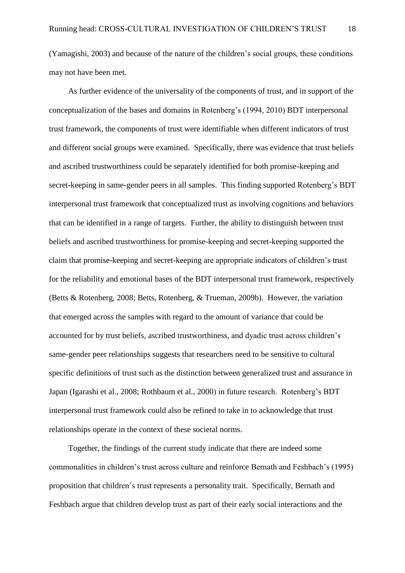(Yamagishi, 2003) and because of the nature of the children's social groups, these conditions may not have been met.

As further evidence of the universality of the components of trust, and in support of the conceptualization of the bases and domains in Rotenberg's (1994, 2010) BDT interpersonal trust framework, the components of trust were identifiable when different indicators of trust and different social groups were examined. Specifically, there was evidence that trust beliefs and ascribed trustworthiness could be separately identified for both promise-keeping and secret-keeping in same-gender peers in all samples. This finding supported Rotenberg's BDT interpersonal trust framework that conceptualized trust as involving cognitions and behaviors that can be identified in a range of targets. Further, the ability to distinguish between trust beliefs and ascribed trustworthiness for promise-keeping and secret-keeping supported the claim that promise-keeping and secret-keeping are appropriate indicators of children's trust for the reliability and emotional bases of the BDT interpersonal trust framework, respectively (Betts & Rotenberg, 2008; Betts, Rotenberg, & Trueman, 2009b). However, the variation that emerged across the samples with regard to the amount of variance that could be accounted for by trust beliefs, ascribed trustworthiness, and dyadic trust across children's same-gender peer relationships suggests that researchers need to be sensitive to cultural specific definitions of trust such as the distinction between generalized trust and assurance in Japan (Igarashi et al., 2008; Rothbaum et al., 2000) in future research. Rotenberg's BDT interpersonal trust framework could also be refined to take in to acknowledge that trust relationships operate in the context of these societal norms.

Together, the findings of the current study indicate that there are indeed some commonalities in children's trust across culture and reinforce Bernath and Feshbach's (1995) proposition that children's trust represents a personality trait. Specifically, Bernath and Feshbach argue that children develop trust as part of their early social interactions and the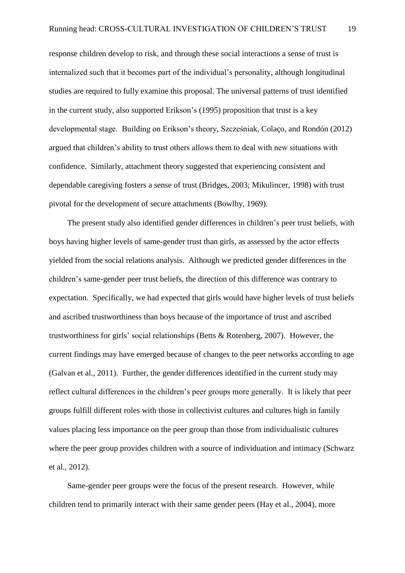response children develop to risk, and through these social interactions a sense of trust is internalized such that it becomes part of the individual's personality, although longitudinal studies are required to fully examine this proposal. The universal patterns of trust identified in the current study, also supported Erikson's (1995) proposition that trust is a key developmental stage. Building on Erikson's theory, Szcześniak, Colaço, and Rondón (2012) argued that children's ability to trust others allows them to deal with new situations with confidence. Similarly, attachment theory suggested that experiencing consistent and dependable caregiving fosters a sense of trust (Bridges, 2003; Mikulincer, 1998) with trust pivotal for the development of secure attachments (Bowlby, 1969).

The present study also identified gender differences in children's peer trust beliefs, with boys having higher levels of same-gender trust than girls, as assessed by the actor effects yielded from the social relations analysis. Although we predicted gender differences in the children's same-gender peer trust beliefs, the direction of this difference was contrary to expectation. Specifically, we had expected that girls would have higher levels of trust beliefs and ascribed trustworthiness than boys because of the importance of trust and ascribed trustworthiness for girls' social relationships (Betts & Rotenberg, 2007). However, the current findings may have emerged because of changes to the peer networks according to age (Galvan et al., 2011). Further, the gender differences identified in the current study may reflect cultural differences in the children's peer groups more generally. It is likely that peer groups fulfill different roles with those in collectivist cultures and cultures high in family values placing less importance on the peer group than those from individualistic cultures where the peer group provides children with a source of individuation and intimacy (Schwarz et al., 2012).

Same-gender peer groups were the focus of the present research. However, while children tend to primarily interact with their same gender peers (Hay et al., 2004), more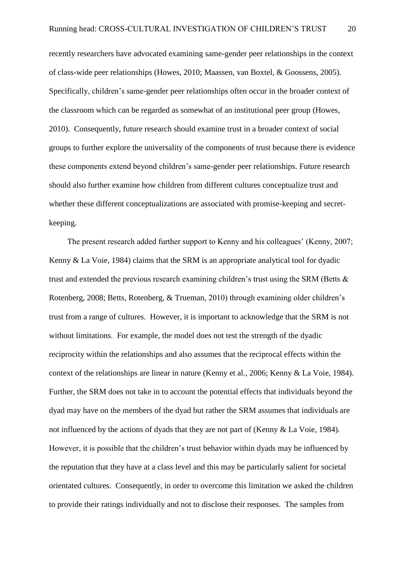recently researchers have advocated examining same-gender peer relationships in the context of class-wide peer relationships (Howes, 2010; Maassen, van Boxtel, & Goossens, 2005). Specifically, children's same-gender peer relationships often occur in the broader context of the classroom which can be regarded as somewhat of an institutional peer group (Howes, 2010). Consequently, future research should examine trust in a broader context of social groups to further explore the universality of the components of trust because there is evidence these components extend beyond children's same-gender peer relationships. Future research should also further examine how children from different cultures conceptualize trust and whether these different conceptualizations are associated with promise-keeping and secretkeeping.

The present research added further support to Kenny and his colleagues' (Kenny, 2007; Kenny & La Voie, 1984) claims that the SRM is an appropriate analytical tool for dyadic trust and extended the previous research examining children's trust using the SRM (Betts & Rotenberg, 2008; Betts, Rotenberg, & Trueman, 2010) through examining older children's trust from a range of cultures. However, it is important to acknowledge that the SRM is not without limitations. For example, the model does not test the strength of the dyadic reciprocity within the relationships and also assumes that the reciprocal effects within the context of the relationships are linear in nature (Kenny et al., 2006; Kenny & La Voie, 1984). Further, the SRM does not take in to account the potential effects that individuals beyond the dyad may have on the members of the dyad but rather the SRM assumes that individuals are not influenced by the actions of dyads that they are not part of (Kenny & La Voie, 1984). However, it is possible that the children's trust behavior within dyads may be influenced by the reputation that they have at a class level and this may be particularly salient for societal orientated cultures. Consequently, in order to overcome this limitation we asked the children to provide their ratings individually and not to disclose their responses. The samples from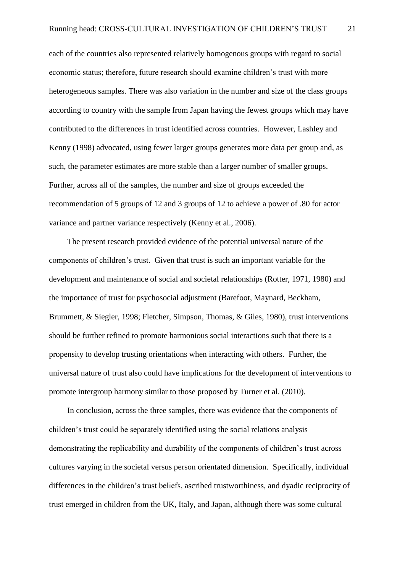each of the countries also represented relatively homogenous groups with regard to social economic status; therefore, future research should examine children's trust with more heterogeneous samples. There was also variation in the number and size of the class groups according to country with the sample from Japan having the fewest groups which may have contributed to the differences in trust identified across countries. However, Lashley and Kenny (1998) advocated, using fewer larger groups generates more data per group and, as such, the parameter estimates are more stable than a larger number of smaller groups. Further, across all of the samples, the number and size of groups exceeded the recommendation of 5 groups of 12 and 3 groups of 12 to achieve a power of .80 for actor variance and partner variance respectively (Kenny et al., 2006).

The present research provided evidence of the potential universal nature of the components of children's trust. Given that trust is such an important variable for the development and maintenance of social and societal relationships (Rotter, 1971, 1980) and the importance of trust for psychosocial adjustment (Barefoot, Maynard, Beckham, Brummett, & Siegler, 1998; Fletcher, Simpson, Thomas, & Giles, 1980), trust interventions should be further refined to promote harmonious social interactions such that there is a propensity to develop trusting orientations when interacting with others. Further, the universal nature of trust also could have implications for the development of interventions to promote intergroup harmony similar to those proposed by Turner et al. (2010).

In conclusion, across the three samples, there was evidence that the components of children's trust could be separately identified using the social relations analysis demonstrating the replicability and durability of the components of children's trust across cultures varying in the societal versus person orientated dimension. Specifically, individual differences in the children's trust beliefs, ascribed trustworthiness, and dyadic reciprocity of trust emerged in children from the UK, Italy, and Japan, although there was some cultural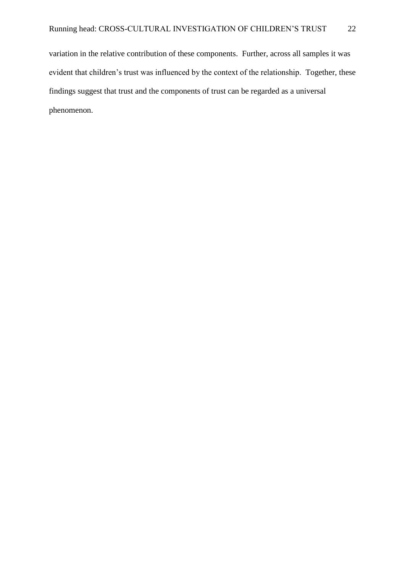variation in the relative contribution of these components. Further, across all samples it was evident that children's trust was influenced by the context of the relationship. Together, these findings suggest that trust and the components of trust can be regarded as a universal phenomenon.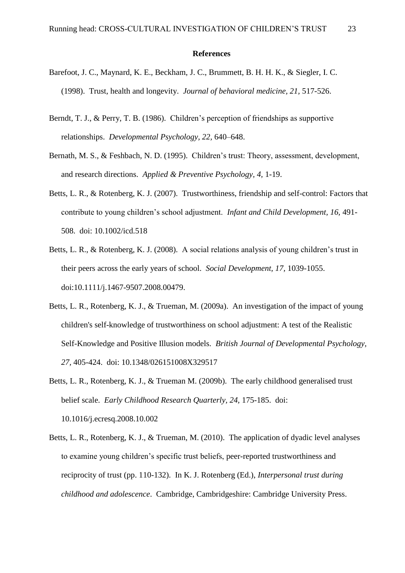#### **References**

- Barefoot, J. C., Maynard, K. E., Beckham, J. C., Brummett, B. H. H. K., & Siegler, I. C. (1998). Trust, health and longevity. *Journal of behavioral medicine, 21,* 517-526.
- Berndt, T. J., & Perry, T. B. (1986). Children's perception of friendships as supportive relationships. *Developmental Psychology, 22,* 640–648.
- Bernath, M. S., & Feshbach, N. D. (1995). Children's trust: Theory, assessment, development, and research directions. *Applied & Preventive Psychology, 4,* 1-19.
- Betts, L. R., & Rotenberg, K. J. (2007). Trustworthiness, friendship and self-control: Factors that contribute to young children's school adjustment. *Infant and Child Development, 16,* 491- 508. doi: 10.1002/icd.518
- Betts, L. R., & Rotenberg, K. J. (2008). A social relations analysis of young children's trust in their peers across the early years of school. *Social Development, 17,* 1039-1055. doi:10.1111/j.1467-9507.2008.00479.
- Betts, L. R., Rotenberg, K. J., & Trueman, M. (2009a). An investigation of the impact of young children's self-knowledge of trustworthiness on school adjustment: A test of the Realistic Self-Knowledge and Positive Illusion models. *British Journal of Developmental Psychology, 27,* 405-424. doi: 10.1348/026151008X329517
- Betts, L. R., Rotenberg, K. J., & Trueman M. (2009b). The early childhood generalised trust belief scale. *Early Childhood Research Quarterly, 24,* 175-185. doi: 10.1016/j.ecresq.2008.10.002
- Betts, L. R., Rotenberg, K. J., & Trueman, M. (2010). The application of dyadic level analyses to examine young children's specific trust beliefs, peer-reported trustworthiness and reciprocity of trust (pp. 110-132). In K. J. Rotenberg (Ed.), *Interpersonal trust during childhood and adolescence*. Cambridge, Cambridgeshire: Cambridge University Press.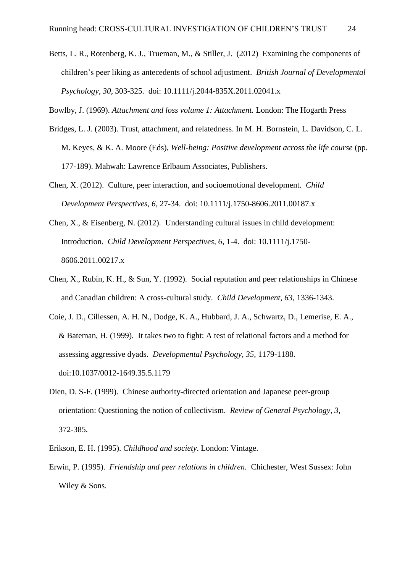Betts, L. R., Rotenberg, K. J., Trueman, M., & Stiller, J. (2012) Examining the components of children's peer liking as antecedents of school adjustment. *British Journal of Developmental Psychology, 30,* 303-325. doi: 10.1111/j.2044-835X.2011.02041.x

Bowlby, J. (1969). *Attachment and loss volume 1: Attachment.* London: The Hogarth Press

- Bridges, L. J. (2003). Trust, attachment, and relatedness. In M. H. Bornstein, L. Davidson, C. L. M. Keyes, & K. A. Moore (Eds), *Well-being: Positive development across the life course* (pp. 177-189). Mahwah: Lawrence Erlbaum Associates, Publishers.
- Chen, X. (2012). Culture, peer interaction, and socioemotional development. *Child Development Perspectives, 6,* 27-34. doi: 10.1111/j.1750-8606.2011.00187.x
- Chen, X., & Eisenberg, N. (2012). Understanding cultural issues in child development: Introduction. *Child Development Perspectives, 6,* 1-4. doi: 10.1111/j.1750- 8606.2011.00217.x
- Chen, X., Rubin, K. H., & Sun, Y. (1992). Social reputation and peer relationships in Chinese and Canadian children: A cross-cultural study. *Child Development, 63,* 1336-1343.
- Coie, J. D., Cillessen, A. H. N., Dodge, K. A., Hubbard, J. A., Schwartz, D., Lemerise, E. A., & Bateman, H. (1999). It takes two to fight: A test of relational factors and a method for assessing aggressive dyads. *Developmental Psychology, 35,* 1179-1188. doi:10.1037/0012-1649.35.5.1179
- Dien, D. S-F. (1999). Chinese authority-directed orientation and Japanese peer-group orientation: Questioning the notion of collectivism. *Review of General Psychology, 3,*  372-385.
- Erikson, E. H. (1995). *Childhood and society*. London: Vintage.
- Erwin, P. (1995). *Friendship and peer relations in children.* Chichester, West Sussex: John Wiley & Sons.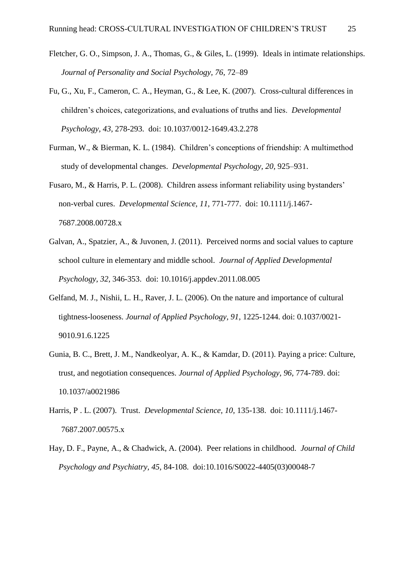- Fletcher, G. O., Simpson, J. A., Thomas, G., & Giles, L. (1999). Ideals in intimate relationships. *Journal of Personality and Social Psychology, 76,* 72–89
- Fu, G., Xu, F., Cameron, C. A., Heyman, G., & Lee, K. (2007). Cross-cultural differences in children's choices, categorizations, and evaluations of truths and lies. *Developmental Psychology, 43,* 278-293. doi: 10.1037/0012-1649.43.2.278
- Furman, W., & Bierman, K. L. (1984). Children's conceptions of friendship: A multimethod study of developmental changes. *Developmental Psychology, 20,* 925–931.
- Fusaro, M., & Harris, P. L. (2008). Children assess informant reliability using bystanders' non-verbal cures. *Developmental Science, 11,* 771-777. doi: 10.1111/j.1467- 7687.2008.00728.x
- Galvan, A., Spatzier, A., & Juvonen, J. (2011). Perceived norms and social values to capture school culture in elementary and middle school. *Journal of Applied Developmental Psychology, 32,* 346-353. doi: 10.1016/j.appdev.2011.08.005
- Gelfand, M. J., Nishii, L. H., Raver, J. L. (2006). On the nature and importance of cultural tightness-looseness. *Journal of Applied Psychology, 91,* 1225-1244. doi: 0.1037/0021- 9010.91.6.1225
- Gunia, B. C., Brett, J. M., Nandkeolyar, A. K., & Kamdar, D. (2011). Paying a price: Culture, trust, and negotiation consequences. *Journal of Applied Psychology, 96,* 774-789. doi: 10.1037/a0021986
- Harris, P . L. (2007). Trust. *Developmental Science, 10,* 135-138. doi: 10.1111/j.1467- 7687.2007.00575.x
- Hay, D. F., Payne, A., & Chadwick, A. (2004). Peer relations in childhood. *Journal of Child Psychology and Psychiatry, 45,* 84-108. doi:10.1016/S0022-4405(03)00048-7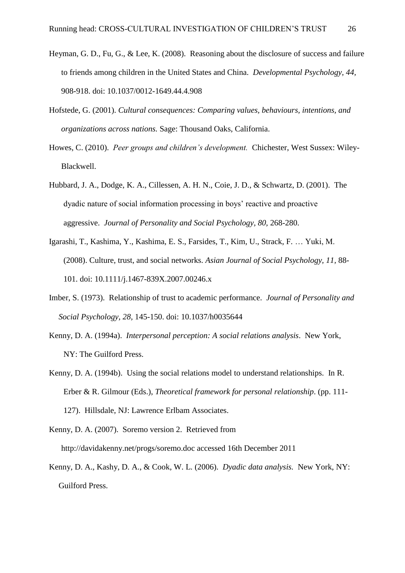- Heyman, G. D., Fu, G., & Lee, K. (2008). Reasoning about the disclosure of success and failure to friends among children in the United States and China. *Developmental Psychology, 44,*  908-918. doi: 10.1037/0012-1649.44.4.908
- Hofstede, G. (2001). *Cultural consequences: Comparing values, behaviours, intentions, and organizations across nations.* Sage: Thousand Oaks, California.
- Howes, C. (2010). *Peer groups and children's development.* Chichester, West Sussex: Wiley-Blackwell.
- Hubbard, J. A., Dodge, K. A., Cillessen, A. H. N., Coie, J. D., & Schwartz, D. (2001). The dyadic nature of social information processing in boys' reactive and proactive aggressive. *Journal of Personality and Social Psychology, 80,* 268-280.
- Igarashi, T., Kashima, Y., Kashima, E. S., Farsides, T., Kim, U., Strack, F. … Yuki, M. (2008). Culture, trust, and social networks. *Asian Journal of Social Psychology, 11,* 88- 101. doi: 10.1111/j.1467-839X.2007.00246.x
- Imber, S. (1973). Relationship of trust to academic performance. *Journal of Personality and Social Psychology, 28,* 145-150. doi: 10.1037/h0035644
- Kenny, D. A. (1994a). *Interpersonal perception: A social relations analysis*. New York, NY: The Guilford Press.
- Kenny, D. A. (1994b). Using the social relations model to understand relationships. In R. Erber & R. Gilmour (Eds.), *Theoretical framework for personal relationship*. (pp. 111- 127). Hillsdale, NJ: Lawrence Erlbam Associates.
- Kenny, D. A. (2007). Soremo version 2. Retrieved from http://davidakenny.net/progs/soremo.doc accessed 16th December 2011
- Kenny, D. A., Kashy, D. A., & Cook, W. L. (2006). *Dyadic data analysis.* New York, NY: Guilford Press.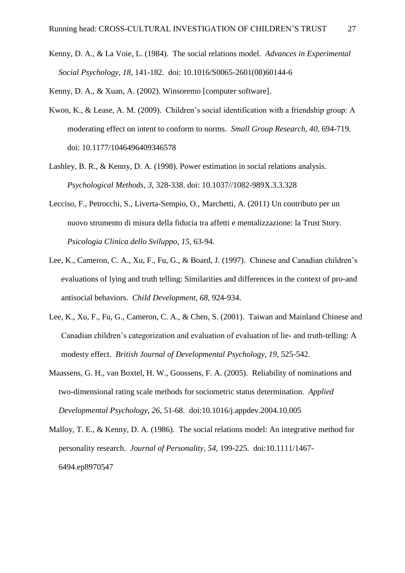- Kenny, D. A., & La Voie, L. (1984). The social relations model. *Advances in Experimental Social Psychology, 18,* 141-182. doi: 10.1016/S0065-2601(08)60144-6
- Kenny, D. A., & Xuan, A. (2002). Winsoremo [computer software].
- Kwon, K., & Lease, A. M. (2009). Children's social identification with a friendship group: A moderating effect on intent to conform to norms. *Small Group Research, 40,* 694-719. doi: 10.1177/1046496409346578
- Lashley, B. R., & Kenny, D. A. (1998). Power estimation in social relations analysis. *Psychological Methods, 3,* 328-338. doi: 10.1037//1082-989X.3.3.328
- Lecciso, F., Petrocchi, S., Liverta-Sempio, O., Marchetti, A. (2011) Un contributo per un nuovo strumento di misura della fiducia tra affetti e mentalizzazione: la Trust Story. *Psicologia Clinica dello Sviluppo, 15,* 63-94.
- Lee, K., Cameron, C. A., Xu, F., Fu, G., & Board, J. (1997). Chinese and Canadian children's evaluations of lying and truth telling: Similarities and differences in the context of pro-and antisocial behaviors. *Child Development, 68,* 924-934.
- Lee, K., Xu, F., Fu, G., Cameron, C. A., & Chen, S. (2001). Taiwan and Mainland Chinese and Canadian children's categorization and evaluation of evaluation of lie- and truth-telling: A modesty effect. *British Journal of Developmental Psychology, 19, 525-542.*
- Maassens, G. H., van Boxtel, H. W., Goossens, F. A. (2005). Reliability of nominations and two-dimensional rating scale methods for sociometric status determination. *Applied Developmental Psychology, 26,* 51-68. doi:10.1016/j.appdev.2004.10.005
- Malloy, T. E., & Kenny, D. A. (1986). The social relations model: An integrative method for personality research. *Journal of Personality, 54,* 199-225. doi:10.1111/1467- 6494.ep8970547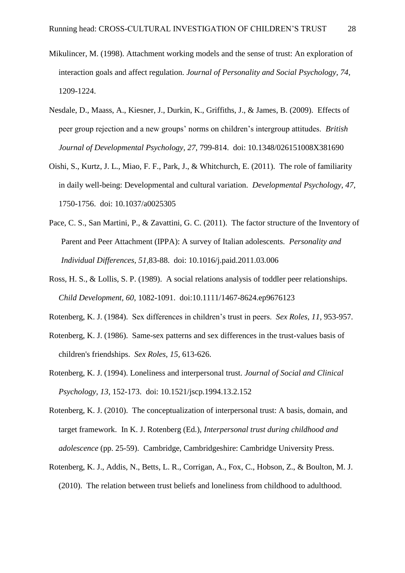- Mikulincer, M. (1998). Attachment working models and the sense of trust: An exploration of interaction goals and affect regulation. *Journal of Personality and Social Psychology, 74,* 1209-1224.
- Nesdale, D., Maass, A., Kiesner, J., Durkin, K., Griffiths, J., & James, B. (2009). Effects of peer group rejection and a new groups' norms on children's intergroup attitudes. *British Journal of Developmental Psychology, 27,* 799-814. doi: 10.1348/026151008X381690
- Oishi, S., Kurtz, J. L., Miao, F. F., Park, J., & Whitchurch, E. (2011). The role of familiarity in daily well-being: Developmental and cultural variation. *Developmental Psychology, 47,*  1750-1756. doi: 10.1037/a0025305
- Pace, C. S., San Martini, P., & Zavattini, G. C. (2011). The factor structure of the Inventory of Parent and Peer Attachment (IPPA): A survey of Italian adolescents. *Personality and Individual Differences, 51,*83-88. doi: 10.1016/j.paid.2011.03.006
- Ross, H. S., & Lollis, S. P. (1989). A social relations analysis of toddler peer relationships. *Child Development, 60,* 1082-1091. doi:10.1111/1467-8624.ep9676123
- Rotenberg, K. J. (1984). Sex differences in children's trust in peers. *Sex Roles, 11,* 953-957.
- Rotenberg, K. J. (1986). Same-sex patterns and sex differences in the trust-values basis of children's friendships. *Sex Roles, 15,* 613-626.
- Rotenberg, K. J. (1994). Loneliness and interpersonal trust. *Journal of Social and Clinical Psychology, 13,* 152-173. doi: 10.1521/jscp.1994.13.2.152
- Rotenberg, K. J. (2010). The conceptualization of interpersonal trust: A basis, domain, and target framework. In K. J. Rotenberg (Ed.), *Interpersonal trust during childhood and adolescence* (pp. 25-59). Cambridge, Cambridgeshire: Cambridge University Press.
- Rotenberg, K. J., Addis, N., Betts, L. R., Corrigan, A., Fox, C., Hobson, Z., & Boulton, M. J. (2010). The relation between trust beliefs and loneliness from childhood to adulthood.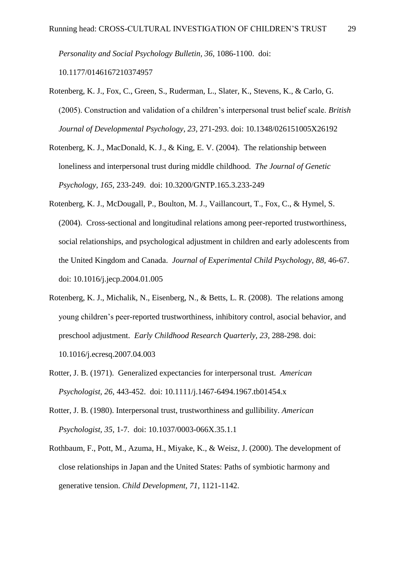*Personality and Social Psychology Bulletin, 36,* 1086-1100. doi:

10.1177/0146167210374957

- Rotenberg, K. J., Fox, C., Green, S., Ruderman, L., Slater, K., Stevens, K., & Carlo, G. (2005). Construction and validation of a children's interpersonal trust belief scale. *British Journal of Developmental Psychology, 23,* 271-293. doi: 10.1348/026151005X26192
- Rotenberg, K. J., MacDonald, K. J., & King, E. V. (2004). The relationship between loneliness and interpersonal trust during middle childhood. *The Journal of Genetic Psychology, 165,* 233-249. doi: 10.3200/GNTP.165.3.233-249
- Rotenberg, K. J., McDougall, P., Boulton, M. J., Vaillancourt, T., Fox, C., & Hymel, S. (2004). Cross-sectional and longitudinal relations among peer-reported trustworthiness, social relationships, and psychological adjustment in children and early adolescents from the United Kingdom and Canada. *Journal of Experimental Child Psychology, 88,* 46-67. doi: 10.1016/j.jecp.2004.01.005
- Rotenberg, K. J., Michalik, N., Eisenberg, N., & Betts, L. R. (2008). The relations among young children's peer-reported trustworthiness, inhibitory control, asocial behavior, and preschool adjustment. *Early Childhood Research Quarterly, 23,* 288-298. doi: 10.1016/j.ecresq.2007.04.003
- Rotter, J. B. (1971). Generalized expectancies for interpersonal trust. *American Psychologist, 26,* 443-452. doi: 10.1111/j.1467-6494.1967.tb01454.x
- Rotter, J. B. (1980). Interpersonal trust, trustworthiness and gullibility. *American Psychologist, 35,* 1-7. doi: 10.1037/0003-066X.35.1.1
- Rothbaum, F., Pott, M., Azuma, H., Miyake, K., & Weisz, J. (2000). The development of close relationships in Japan and the United States: Paths of symbiotic harmony and generative tension. *Child Development, 71,* 1121-1142.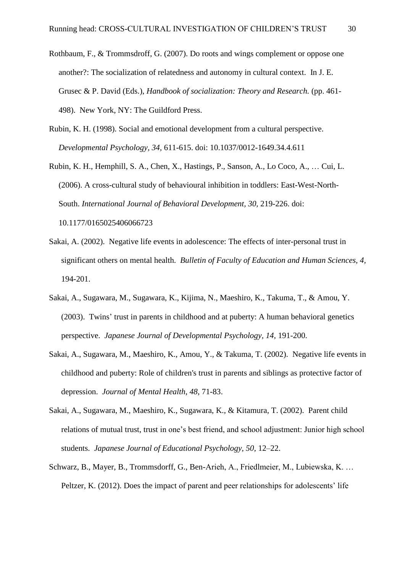- Rothbaum, F., & Trommsdroff, G. (2007). Do roots and wings complement or oppose one another?: The socialization of relatedness and autonomy in cultural context. In J. E. Grusec & P. David (Eds.), *Handbook of socialization: Theory and Research.* (pp. 461- 498). New York, NY: The Guildford Press.
- Rubin, K. H. (1998). Social and emotional development from a cultural perspective. *Developmental Psychology, 34,* 611-615. doi: 10.1037/0012-1649.34.4.611
- Rubin, K. H., Hemphill, S. A., Chen, X., Hastings, P., Sanson, A., Lo Coco, A., … Cui, L. (2006). A cross-cultural study of behavioural inhibition in toddlers: East-West-North-South. *International Journal of Behavioral Development, 30,* 219-226. doi: 10.1177/0165025406066723
- Sakai, A. (2002). Negative life events in adolescence: The effects of inter-personal trust in significant others on mental health. *Bulletin of Faculty of Education and Human Sciences, 4,* 194-201.
- Sakai, A., Sugawara, M., Sugawara, K., Kijima, N., Maeshiro, K., Takuma, T., & Amou, Y. (2003). Twins' trust in parents in childhood and at puberty: A human behavioral genetics perspective. *Japanese Journal of Developmental Psychology, 14,* 191-200.
- Sakai, A., Sugawara, M., Maeshiro, K., Amou, Y., & Takuma, T. (2002). Negative life events in childhood and puberty: Role of children's trust in parents and siblings as protective factor of depression. *Journal of Mental Health*, *48*, 71-83.
- Sakai, A., Sugawara, M., Maeshiro, K., Sugawara, K., & Kitamura, T. (2002). Parent child relations of mutual trust, trust in one's best friend, and school adjustment: Junior high school students. *Japanese Journal of Educational Psychology, 50,* 12–22.
- Schwarz, B., Mayer, B., Trommsdorff, G., Ben-Arieh, A., Friedlmeier, M., Lubiewska, K. … Peltzer, K. (2012). Does the impact of parent and peer relationships for adolescents' life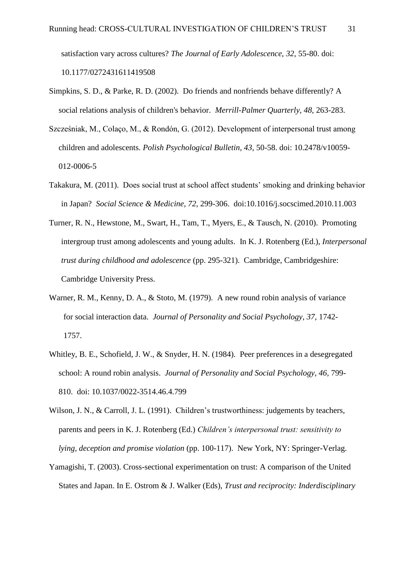satisfaction vary across cultures? *The Journal of Early Adolescence, 32,* 55-80. doi: 10.1177/0272431611419508

- Simpkins, S. D., & Parke, R. D. (2002). Do friends and nonfriends behave differently? A social relations analysis of children's behavior. *Merrill-Palmer Quarterly, 48,* 263-283.
- Szcześniak, M., Colaço, M., & Rondón, G. (2012). Development of interpersonal trust among children and adolescents. *Polish Psychological Bulletin, 43,* 50-58. doi: 10.2478/v10059- 012-0006-5
- Takakura, M. (2011). Does social trust at school affect students' smoking and drinking behavior in Japan? *Social Science & Medicine, 72,* 299-306. doi:10.1016/j.socscimed.2010.11.003
- Turner, R. N., Hewstone, M., Swart, H., Tam, T., Myers, E., & Tausch, N. (2010). Promoting intergroup trust among adolescents and young adults. In K. J. Rotenberg (Ed.), *Interpersonal trust during childhood and adolescence* (pp. 295-321). Cambridge, Cambridgeshire: Cambridge University Press.
- Warner, R. M., Kenny, D. A., & Stoto, M. (1979). A new round robin analysis of variance for social interaction data. *Journal of Personality and Social Psychology, 37,* 1742- 1757.
- Whitley, B. E., Schofield, J. W., & Snyder, H. N. (1984). Peer preferences in a desegregated school: A round robin analysis. *Journal of Personality and Social Psychology, 46,* 799- 810. doi: 10.1037/0022-3514.46.4.799
- Wilson, J. N., & Carroll, J. L. (1991). Children's trustworthiness: judgements by teachers, parents and peers in K. J. Rotenberg (Ed.) *Children's interpersonal trust: sensitivity to lying, deception and promise violation* (pp. 100-117). New York, NY: Springer-Verlag.
- Yamagishi, T. (2003). Cross-sectional experimentation on trust: A comparison of the United States and Japan. In E. Ostrom & J. Walker (Eds), *Trust and reciprocity: Inderdisciplinary*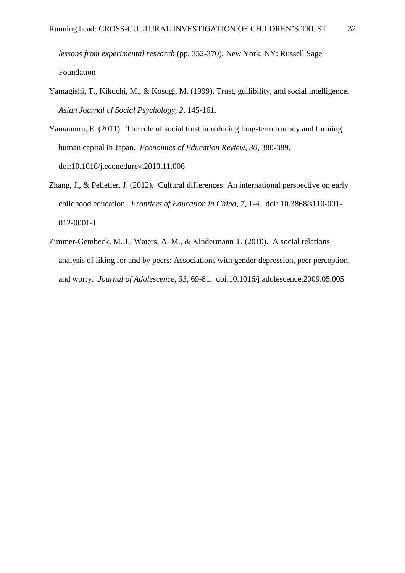*lessons from experimental research* (pp. 352-370)*.* New York, NY: Russell Sage Foundation

- Yamagishi, T., Kikuchi, M., & Kosugi, M. (1999). Trust, gullibility, and social intelligence. *Asian Journal of Social Psychology, 2,* 145-161.
- Yamamura, E. (2011). The role of social trust in reducing long-term truancy and forming human capital in Japan. *Economics of Education Review, 30,* 380-389. doi:10.1016/j.econedurev.2010.11.006
- Zhang, J., & Pelletier, J. (2012). Cultural differences: An international perspective on early childhood education. *Frontiers of Education in China, 7,* 1-4. doi: 10.3868/s110-001- 012-0001-1
- Zimmer-Gembeck, M. J., Waters, A. M., & Kindermann T. (2010). A social relations analysis of liking for and by peers: Associations with gender depression, peer perception, and worry. *Journal of Adolescence, 33,* 69-81. doi:10.1016/j.adolescence.2009.05.005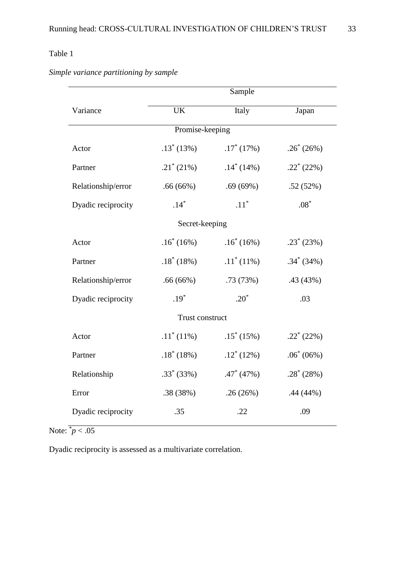|                    | Sample             |                    |               |  |  |  |  |
|--------------------|--------------------|--------------------|---------------|--|--|--|--|
| Variance           | <b>UK</b>          | Italy              | Japan         |  |  |  |  |
| Promise-keeping    |                    |                    |               |  |  |  |  |
| Actor              | $.13^*(13%)$       | $.17^*$ (17%)      | $.26^*(26%)$  |  |  |  |  |
| Partner            | $.21^{\ast}$ (21%) | $.14^*$ (14%)      | $.22^*(22%)$  |  |  |  |  |
| Relationship/error | .66(66%)           | .69(69%)           | .52(52%)      |  |  |  |  |
| Dyadic reciprocity | $.14*$             | $.11$ <sup>*</sup> | $.08^{\ast}$  |  |  |  |  |
| Secret-keeping     |                    |                    |               |  |  |  |  |
| Actor              | $.16^* (16%)$      | $.16^*(16%)$       | $.23^*(23%)$  |  |  |  |  |
| Partner            | $.18^*$ (18%)      | $.11^*(11\%)$      | $.34^*$ (34%) |  |  |  |  |
| Relationship/error | .66(66%)           | .73(73%)           | .43 (43%)     |  |  |  |  |
| Dyadic reciprocity | $.19*$             | $.20^*$            | .03           |  |  |  |  |
| Trust construct    |                    |                    |               |  |  |  |  |
| Actor              | $.11^*(11\%)$      | $.15*(15%)$        | $.22^*(22%)$  |  |  |  |  |
| Partner            | $.18^* (18%)$      | $.12^*$ (12%)      | $.06^* (06%)$ |  |  |  |  |
| Relationship       | $.33^*$ (33%)      | $.47^*$ (47%)      | $.28^*(28%)$  |  |  |  |  |
| Error              | .38(38%)           | .26(26%)           | .44 (44%)     |  |  |  |  |
| Dyadic reciprocity | .35                | .22                | .09           |  |  |  |  |

*Simple variance partitioning by sample*

Note:  $\frac{1}{p}$  < .05

Dyadic reciprocity is assessed as a multivariate correlation.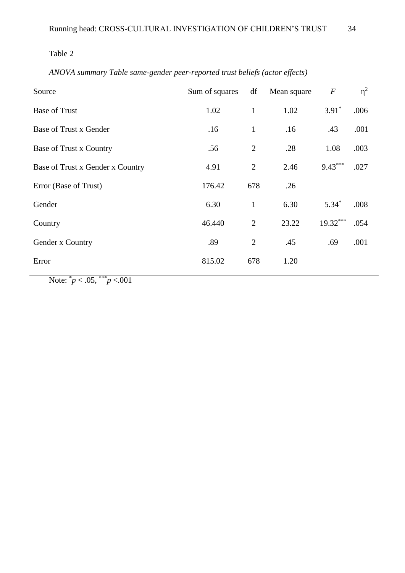# *ANOVA summary Table same-gender peer-reported trust beliefs (actor effects)*

| Source                           | Sum of squares | df             | Mean square | $\boldsymbol{F}$ | $\eta^2$ |
|----------------------------------|----------------|----------------|-------------|------------------|----------|
| <b>Base of Trust</b>             | 1.02           | 1              | 1.02        | $3.91*$          | .006     |
| Base of Trust x Gender           | .16            | $\mathbf{1}$   | .16         | .43              | .001     |
| Base of Trust x Country          | .56            | $\overline{2}$ | .28         | 1.08             | .003     |
| Base of Trust x Gender x Country | 4.91           | $\overline{2}$ | 2.46        | $9.43***$        | .027     |
| Error (Base of Trust)            | 176.42         | 678            | .26         |                  |          |
| Gender                           | 6.30           | $\mathbf{1}$   | 6.30        | $5.34*$          | .008     |
| Country                          | 46.440         | $\overline{2}$ | 23.22       | $19.32***$       | .054     |
| Gender x Country                 | .89            | $\overline{2}$ | .45         | .69              | .001     |
| Error                            | 815.02         | 678            | 1.20        |                  |          |
|                                  |                |                |             |                  |          |

Note: \* *p* < .05, \*\*\**p* <.001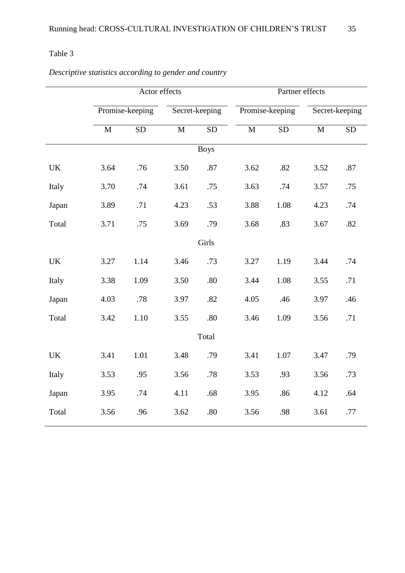|             | Actor effects   |           |                | Partner effects |                 |            |                |           |  |
|-------------|-----------------|-----------|----------------|-----------------|-----------------|------------|----------------|-----------|--|
|             | Promise-keeping |           | Secret-keeping |                 | Promise-keeping |            | Secret-keeping |           |  |
|             | $\mathbf M$     | <b>SD</b> | $\mathbf M$    | <b>SD</b>       | $\mathbf M$     | ${\rm SD}$ | $\mathbf M$    | <b>SD</b> |  |
| <b>Boys</b> |                 |           |                |                 |                 |            |                |           |  |
| <b>UK</b>   | 3.64            | .76       | 3.50           | .87             | 3.62            | .82        | 3.52           | .87       |  |
| Italy       | 3.70            | .74       | 3.61           | .75             | 3.63            | .74        | 3.57           | .75       |  |
| Japan       | 3.89            | .71       | 4.23           | .53             | 3.88            | 1.08       | 4.23           | .74       |  |
| Total       | 3.71            | .75       | 3.69           | .79             | 3.68            | .83        | 3.67           | .82       |  |
|             |                 |           |                | Girls           |                 |            |                |           |  |
| UK          | 3.27            | 1.14      | 3.46           | .73             | 3.27            | 1.19       | 3.44           | .74       |  |
| Italy       | 3.38            | 1.09      | 3.50           | .80             | 3.44            | 1.08       | 3.55           | .71       |  |
| Japan       | 4.03            | .78       | 3.97           | .82             | 4.05            | .46        | 3.97           | .46       |  |
| Total       | 3.42            | 1.10      | 3.55           | .80             | 3.46            | 1.09       | 3.56           | .71       |  |
| Total       |                 |           |                |                 |                 |            |                |           |  |
| <b>UK</b>   | 3.41            | 1.01      | 3.48           | .79             | 3.41            | 1.07       | 3.47           | .79       |  |
| Italy       | 3.53            | .95       | 3.56           | .78             | 3.53            | .93        | 3.56           | .73       |  |
| Japan       | 3.95            | .74       | 4.11           | .68             | 3.95            | .86        | 4.12           | .64       |  |
| Total       | 3.56            | .96       | 3.62           | .80             | 3.56            | .98        | 3.61           | .77       |  |

*Descriptive statistics according to gender and country*